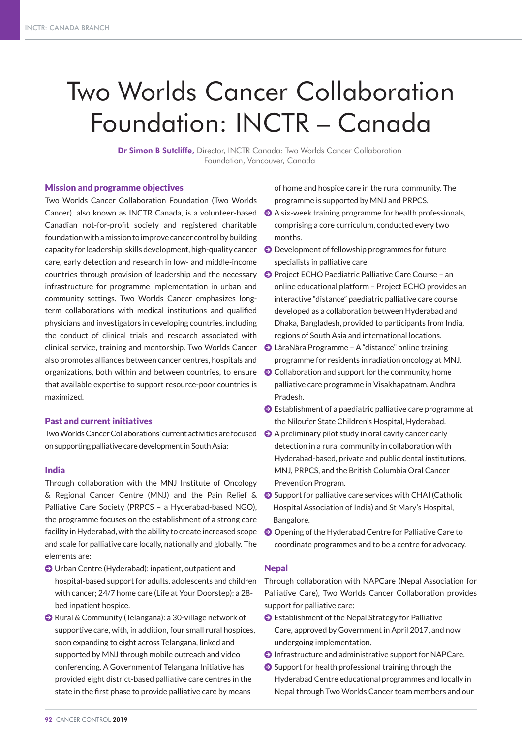# Two Worlds Cancer Collaboration Foundation: INCTR – Canada

Dr Simon B Sutcliffe, Director, INCTR Canada: Two Worlds Cancer Collaboration Foundation, Vancouver, Canada

#### Mission and programme objectives

Two Worlds Cancer Collaboration Foundation (Two Worlds Cancer), also known as INCTR Canada, is a volunteer-based Canadian not-for-profit society and registered charitable foundation with a mission to improve cancer control by building capacity for leadership, skills development, high-quality cancer care, early detection and research in low- and middle-income countries through provision of leadership and the necessary infrastructure for programme implementation in urban and community settings. Two Worlds Cancer emphasizes longterm collaborations with medical institutions and qualified physicians and investigators in developing countries, including the conduct of clinical trials and research associated with clinical service, training and mentorship. Two Worlds Cancer also promotes alliances between cancer centres, hospitals and organizations, both within and between countries, to ensure that available expertise to support resource-poor countries is maximized.

# Past and current initiatives

Two Worlds Cancer Collaborations' current activities are focused  $\bullet$  A preliminary pilot study in oral cavity cancer early on supporting palliative care development in South Asia:

#### India

Through collaboration with the MNJ Institute of Oncology & Regional Cancer Centre (MNJ) and the Pain Relief & J Support for palliative care services with CHAI (Catholic Palliative Care Society (PRPCS – a Hyderabad-based NGO), the programme focuses on the establishment of a strong core facility in Hyderabad, with the ability to create increased scope and scale for palliative care locally, nationally and globally. The elements are:

- J Urban Centre (Hyderabad): inpatient, outpatient and hospital-based support for adults, adolescents and children with cancer; 24/7 home care (Life at Your Doorstep): a 28 bed inpatient hospice.
- J Rural & Community (Telangana): a 30-village network of supportive care, with, in addition, four small rural hospices, soon expanding to eight across Telangana, linked and supported by MNJ through mobile outreach and video conferencing. A Government of Telangana Initiative has provided eight district-based palliative care centres in the state in the first phase to provide palliative care by means

of home and hospice care in the rural community. The programme is supported by MNJ and PRPCS.

- $\bullet$  A six-week training programme for health professionals, comprising a core curriculum, conducted every two months.
- $\Theta$  Development of fellowship programmes for future specialists in palliative care.
- **O** Project ECHO Paediatric Palliative Care Course an online educational platform – Project ECHO provides an interactive "distance" paediatric palliative care course developed as a collaboration between Hyderabad and Dhaka, Bangladesh, provided to participants from India, regions of South Asia and international locations.
- J LäraNära Programme A "distance" online training programme for residents in radiation oncology at MNJ.
- $\bigodot$  Collaboration and support for the community, home palliative care programme in Visakhapatnam, Andhra Pradesh.
- $\bullet$  Establishment of a paediatric palliative care programme at the Niloufer State Children's Hospital, Hyderabad.
- detection in a rural community in collaboration with Hyderabad-based, private and public dental institutions, MNJ, PRPCS, and the British Columbia Oral Cancer Prevention Program.
- Hospital Association of India) and St Mary's Hospital, Bangalore.
- $\Theta$  Opening of the Hyderabad Centre for Palliative Care to coordinate programmes and to be a centre for advocacy.

#### Nepal

Through collaboration with NAPCare (Nepal Association for Palliative Care), Two Worlds Cancer Collaboration provides support for palliative care:

- $\bullet$  Establishment of the Nepal Strategy for Palliative Care, approved by Government in April 2017, and now undergoing implementation.
- $\Theta$  Infrastructure and administrative support for NAPCare.
- $\Theta$  Support for health professional training through the Hyderabad Centre educational programmes and locally in Nepal through Two Worlds Cancer team members and our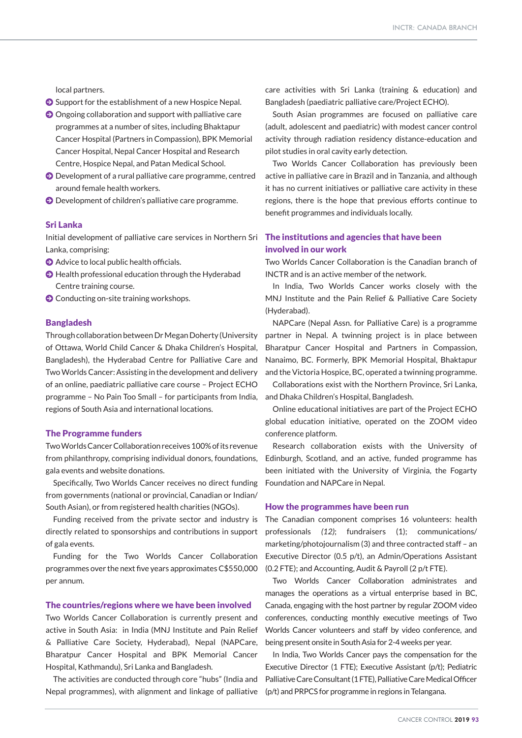local partners.

- $\bullet$  Support for the establishment of a new Hospice Nepal.
- $\bullet$  Ongoing collaboration and support with palliative care programmes at a number of sites, including Bhaktapur Cancer Hospital (Partners in Compassion), BPK Memorial Cancer Hospital, Nepal Cancer Hospital and Research Centre, Hospice Nepal, and Patan Medical School.
- $\bigcirc$  Development of a rural palliative care programme, centred around female health workers.
- J Development of children's palliative care programme.

# Sri Lanka

Initial development of palliative care services in Northern Sri Lanka, comprising:

- $\bullet$  Advice to local public health officials.
- $\bigcirc$  Health professional education through the Hyderabad Centre training course.
- **O** Conducting on-site training workshops.

#### Bangladesh

Through collaboration between Dr Megan Doherty (University of Ottawa, World Child Cancer & Dhaka Children's Hospital, Bangladesh), the Hyderabad Centre for Palliative Care and Two Worlds Cancer: Assisting in the development and delivery of an online, paediatric palliative care course – Project ECHO programme – No Pain Too Small – for participants from India, and Dhaka Children's Hospital, Bangladesh. regions of South Asia and international locations.

#### The Programme funders

Two Worlds Cancer Collaboration receives 100% of its revenue from philanthropy, comprising individual donors, foundations, gala events and website donations.

Specifically, Two Worlds Cancer receives no direct funding from governments (national or provincial, Canadian or Indian/ South Asian), or from registered health charities (NGOs).

Funding received from the private sector and industry is directly related to sponsorships and contributions in support of gala events.

Funding for the Two Worlds Cancer Collaboration programmes over the next five years approximates C\$550,000 per annum.

#### The countries/regions where we have been involved

Two Worlds Cancer Collaboration is currently present and active in South Asia: in India (MNJ Institute and Pain Relief & Palliative Care Society, Hyderabad), Nepal (NAPCare, Bharatpur Cancer Hospital and BPK Memorial Cancer Hospital, Kathmandu), Sri Lanka and Bangladesh.

The activities are conducted through core "hubs" (India and Nepal programmes), with alignment and linkage of palliative (p/t) and PRPCS for programme in regions in Telangana.

care activities with Sri Lanka (training & education) and Bangladesh (paediatric palliative care/Project ECHO).

South Asian programmes are focused on palliative care (adult, adolescent and paediatric) with modest cancer control activity through radiation residency distance-education and pilot studies in oral cavity early detection.

Two Worlds Cancer Collaboration has previously been active in palliative care in Brazil and in Tanzania, and although it has no current initiatives or palliative care activity in these regions, there is the hope that previous efforts continue to benefit programmes and individuals locally.

# The institutions and agencies that have been involved in our work

Two Worlds Cancer Collaboration is the Canadian branch of INCTR and is an active member of the network.

In India, Two Worlds Cancer works closely with the MNJ Institute and the Pain Relief & Palliative Care Society (Hyderabad).

NAPCare (Nepal Assn. for Palliative Care) is a programme partner in Nepal. A twinning project is in place between Bharatpur Cancer Hospital and Partners in Compassion, Nanaimo, BC. Formerly, BPK Memorial Hospital, Bhaktapur and the Victoria Hospice, BC, operated a twinning programme.

Collaborations exist with the Northern Province, Sri Lanka,

Online educational initiatives are part of the Project ECHO global education initiative, operated on the ZOOM video conference platform.

Research collaboration exists with the University of Edinburgh, Scotland, and an active, funded programme has been initiated with the University of Virginia, the Fogarty Foundation and NAPCare in Nepal.

#### How the programmes have been run

The Canadian component comprises 16 volunteers: health professionals *(12)*; fundraisers (1); communications/ marketing/photojournalism (3) and three contracted staff – an Executive Director (0.5 p/t), an Admin/Operations Assistant (0.2 FTE); and Accounting, Audit & Payroll (2 p/t FTE).

Two Worlds Cancer Collaboration administrates and manages the operations as a virtual enterprise based in BC, Canada, engaging with the host partner by regular ZOOM video conferences, conducting monthly executive meetings of Two Worlds Cancer volunteers and staff by video conference, and being present onsite in South Asia for 2-4 weeks per year.

In India, Two Worlds Cancer pays the compensation for the Executive Director (1 FTE); Executive Assistant (p/t); Pediatric Palliative Care Consultant (1 FTE), Palliative Care Medical Officer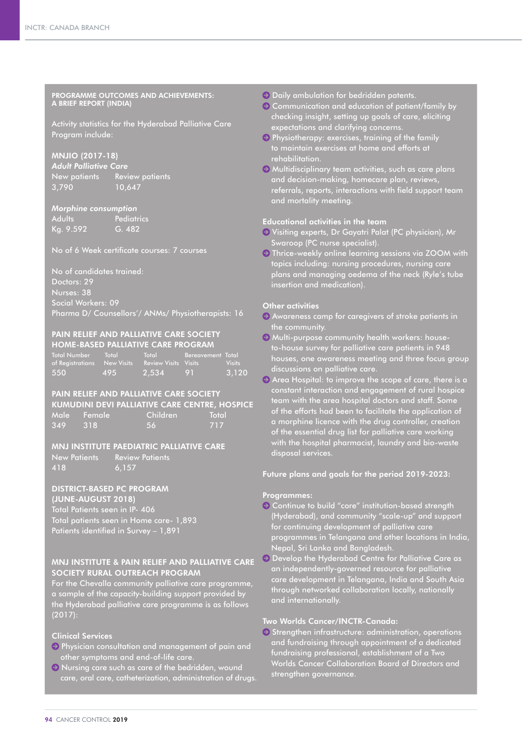PROGRAMME OUTCOMES AND ACHIEVEMENTS: A BRIEF REPORT (INDIA)

Activity statistics for the Hyderabad Palliative Care Program include:

# MNJIO (2017-18)

*Adult Palliative Care* New patients Review patients 3,790 10,647

#### *Morphine consumption*

Adults Pediatrics Kg. 9.592 G. 482

No of 6 Week certificate courses: 7 courses

No of candidates trained: Doctors: 29 Nurses: 38 Social Workers: 09 Pharma D/ Counsellors'/ ANMs/ Physiotherapists: 16

#### PAIN RELIEF AND PALLIATIVE CARE SOCIETY HOME-BASED PALLIATIVE CARE PROGRAM

| <b>Total Number</b>         | Total | Total                       | Bereavement Total    |               |
|-----------------------------|-------|-----------------------------|----------------------|---------------|
| of Registrations New Visits |       | <b>Review Visits Visits</b> |                      | <b>Visits</b> |
| 550                         | 495   | 7.534                       | $\angle$ 91 $\angle$ | 3,120         |

# PAIN RELIEF AND PALLIATIVE CARE SOCIETY KUMUDINI DEVI PALLIATIVE CARE CENTRE, HOSPICE Male Female Children Total 349 318 56 717

# MNJ INSTITUTE PAEDIATRIC PALLIATIVE CARE

New Patients Review Patients

418 6,157

# DISTRICT-BASED PC PROGRAM

(JUNE-AUGUST 2018) Total Patients seen in IP- 406 Total patients seen in Home care- 1,893 Patients identified in Survey – 1,891

# MNJ INSTITUTE & PAIN RELIEF AND PALLIATIVE CARE SOCIETY RURAL OUTREACH PROGRAM

For the Chevalla community palliative care programme, a sample of the capacity-building support provided by the Hyderabad palliative care programme is as follows (2017):

# Clinical Services

- J Physician consultation and management of pain and other symptoms and end-of-life care.
- $\Theta$  Nursing care such as care of the bedridden, wound care, oral care, catheterization, administration of drugs.
- $\Theta$  Daily ambulation for bedridden patents.
- $\Theta$  Communication and education of patient/family by checking insight, setting up goals of care, eliciting expectations and clarifying concerns.
- $\Theta$  Physiotherapy: exercises, training of the family to maintain exercises at home and efforts at rehabilitation.
- $\Theta$  Multidisciplinary team activities, such as care plans and decision-making, homecare plan, reviews, referrals, reports, interactions with field support team and mortality meeting.

# Educational activities in the team

- J Visiting experts, Dr Gayatri Palat (PC physician), Mr Swaroop (PC nurse specialist).
- $\Theta$  Thrice-weekly online learning sessions via ZOOM with topics including: nursing procedures, nursing care plans and managing oedema of the neck (Ryle's tube insertion and medication).

# Other activities

- Awareness camp for caregivers of stroke patients in the community.
- $\Theta$  Multi-purpose community health workers: houseto-house survey for palliative care patients in 948 houses, one awareness meeting and three focus group discussions on palliative care.
- Area Hospital: to improve the scope of care, there is a constant interaction and engagement of rural hospice team with the area hospital doctors and staff. Some of the efforts had been to facilitate the application of a morphine licence with the drug controller, creation of the essential drug list for palliative care working with the hospital pharmacist, laundry and bio-waste disposal services.

# Future plans and goals for the period 2019-2023:

# Programmes:

- $\Theta$  Continue to build "core" institution-based strength (Hyderabad), and community "scale-up" and support for continuing development of palliative care programmes in Telangana and other locations in India, Nepal, Sri Lanka and Bangladesh.
- **O** Develop the Hyderabad Centre for Palliative Care as an independently-governed resource for palliative care development in Telangana, India and South Asia through networked collaboration locally, nationally and internationally.

# Two Worlds Cancer/INCTR-Canada:

 $\Theta$  Strengthen infrastructure: administration, operations and fundraising through appointment of a dedicated fundraising professional, establishment of a Two Worlds Cancer Collaboration Board of Directors and strengthen governance.